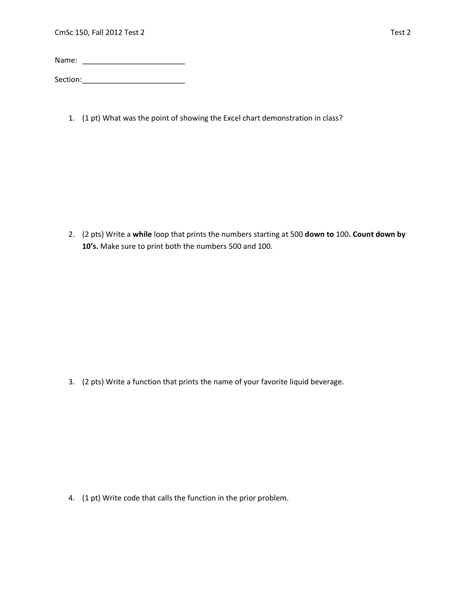Name: \_\_\_\_\_\_\_\_\_\_\_\_\_\_\_\_\_\_\_\_\_\_\_\_\_

Section:\_\_\_\_\_\_\_\_\_\_\_\_\_\_\_\_\_\_\_\_\_\_\_\_\_

1. (1 pt) What was the point of showing the Excel chart demonstration in class?

2. (2 pts) Write a **while** loop that prints the numbers starting at 500 **down to** 100**. Count down by 10's.** Make sure to print both the numbers 500 and 100.

3. (2 pts) Write a function that prints the name of your favorite liquid beverage.

4. (1 pt) Write code that calls the function in the prior problem.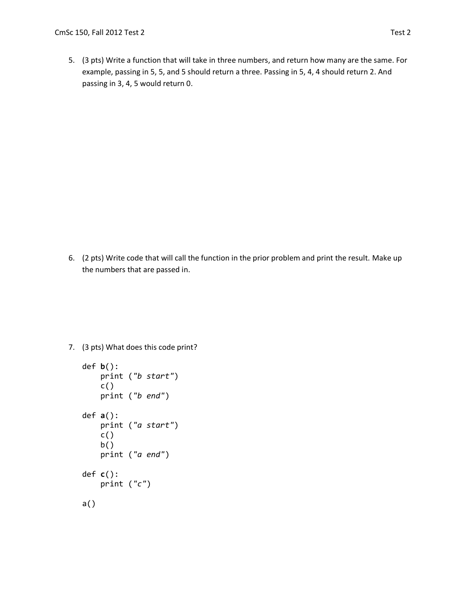5. (3 pts) Write a function that will take in three numbers, and return how many are the same. For example, passing in 5, 5, and 5 should return a three. Passing in 5, 4, 4 should return 2. And passing in 3, 4, 5 would return 0.

6. (2 pts) Write code that will call the function in the prior problem and print the result. Make up the numbers that are passed in.

7. (3 pts) What does this code print?

```
def b():
     print ("b start")
    c() print ("b end")
def a():
     print ("a start")
    c() b()
     print ("a end")
def c():
    print ("c")
a()
```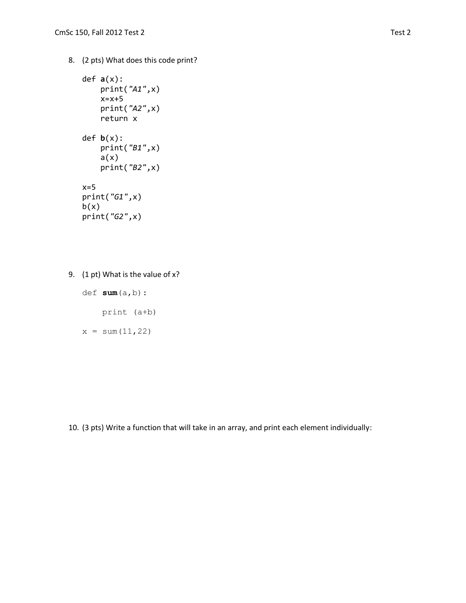8. (2 pts) What does this code print?

```
def a(x):
     print("A1",x)
     x=x+5
     print("A2",x)
     return x
def b(x):
     print("B1",x)
    a(x) print("B2",x)
x=5print("G1",x)
b(x)print("G2",x)
```
9. (1 pt) What is the value of x?

def **sum**(a,b):

print (a+b)

 $x = sum(11, 22)$ 

10. (3 pts) Write a function that will take in an array, and print each element individually: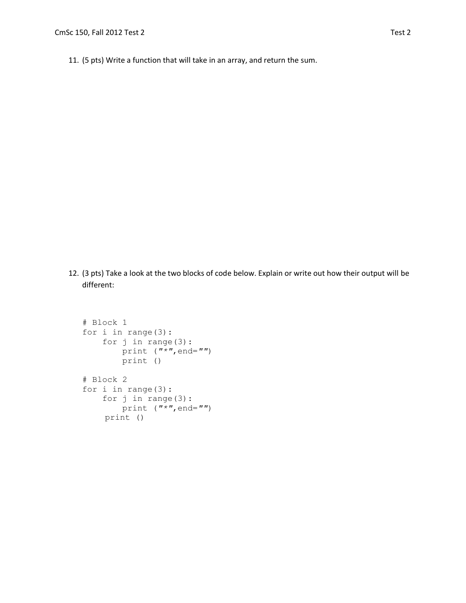11. (5 pts) Write a function that will take in an array, and return the sum.

12. (3 pts) Take a look at the two blocks of code below. Explain or write out how their output will be different:

```
# Block 1
for i in range(3):
     for j in range(3):
         print ("*",end="")
         print ()
# Block 2
for i in range(3):
     for j in range(3):
        print ("*",end="")
     print ()
```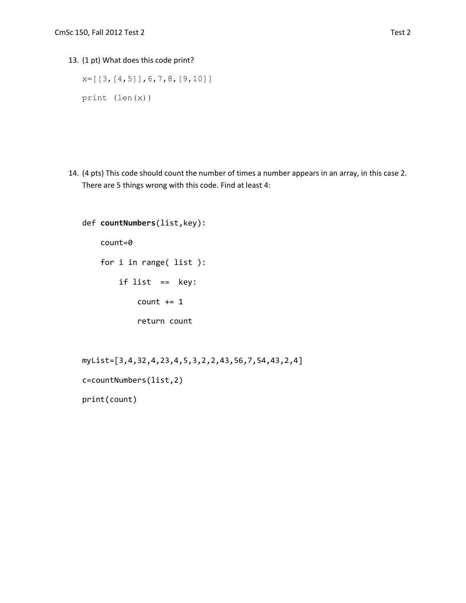13. (1 pt) What does this code print?

```
x=[[3,[4,5]], 6, 7, 8, [9, 10]]
print (len(x))
```
14. (4 pts) This code should count the number of times a number appears in an array, in this case 2. There are 5 things wrong with this code. Find at least 4:

```
def countNumbers(list,key):
    count=0
    for i in range( list ):
         if list == key:
            count += 1 return count
```

```
myList=[3,4,32,4,23,4,5,3,2,2,43,56,7,54,43,2,4]
c=countNumbers(list,2)
print(count)
```